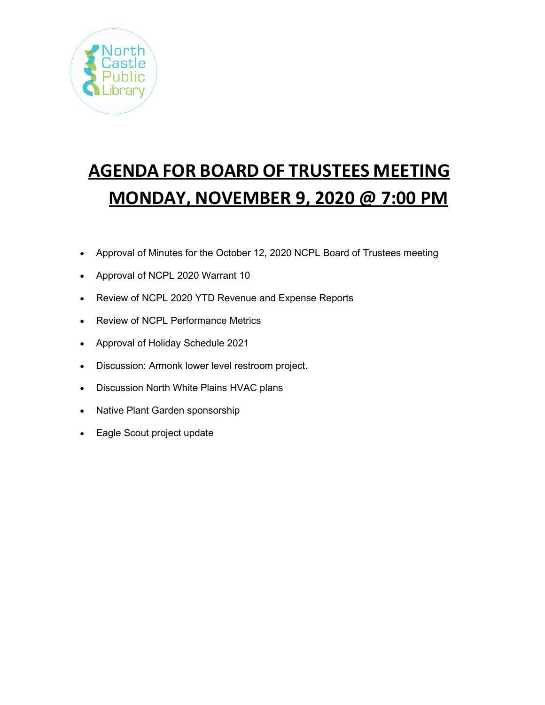

# **AGENDA FOR BOARD OF TRUSTEES MEETING MONDAY, NOVEMBER 9, 2020 @ 7:00 PM**

- Approval of Minutes for the October 12, 2020 NCPL Board of Trustees meeting
- Approval of NCPL 2020 Warrant 10
- Review of NCPL 2020 YTD Revenue and Expense Reports
- Review of NCPL Performance Metrics
- Approval of Holiday Schedule 2021
- Discussion: Armonk lower level restroom project.
- Discussion North White Plains HVAC plans
- Native Plant Garden sponsorship
- Eagle Scout project update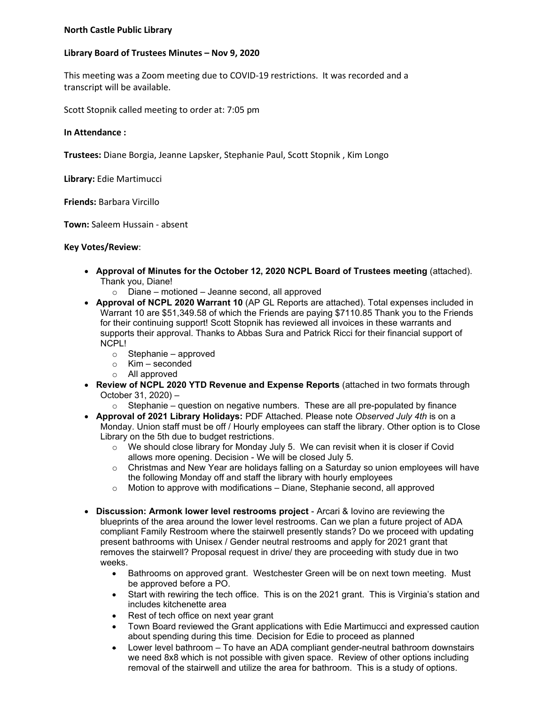## **North Castle Public Library**

## **Library Board of Trustees Minutes – Nov 9, 2020**

This meeting was a Zoom meeting due to COVID-19 restrictions. It was recorded and a transcript will be available.

Scott Stopnik called meeting to order at: 7:05 pm

**In Attendance :**

**Trustees:** Diane Borgia, Jeanne Lapsker, Stephanie Paul, Scott Stopnik , Kim Longo

**Library:** Edie Martimucci

**Friends:** Barbara Vircillo

**Town:** Saleem Hussain - absent

## **Key Votes/Review**:

- **Approval of Minutes for the October 12, 2020 NCPL Board of Trustees meeting** (attached). Thank you, Diane!
	- $\circ$  Diane motioned Jeanne second, all approved
- **Approval of NCPL 2020 Warrant 10** (AP GL Reports are attached). Total expenses included in Warrant 10 are \$51,349.58 of which the Friends are paying \$7110.85 Thank you to the Friends for their continuing support! Scott Stopnik has reviewed all invoices in these warrants and supports their approval. Thanks to Abbas Sura and Patrick Ricci for their financial support of NCPL!
	- o Stephanie approved
	- o Kim seconded
	- o All approved
- **Review of NCPL 2020 YTD Revenue and Expense Reports** (attached in two formats through October 31, 2020) –
- $\circ$  Stephanie question on negative numbers. These are all pre-populated by finance • **Approval of 2021 Library Holidays:** PDF Attached. Please note *Observed July 4th* is on a Monday. Union staff must be off / Hourly employees can staff the library. Other option is to Close Library on the 5th due to budget restrictions.
	- $\circ$  We should close library for Monday July 5. We can revisit when it is closer if Covid allows more opening. Decision - We will be closed July 5.
	- $\circ$  Christmas and New Year are holidavs falling on a Saturday so union employees will have the following Monday off and staff the library with hourly employees
	- $\circ$  Motion to approve with modifications Diane, Stephanie second, all approved
- **Discussion: Armonk lower level restrooms project** Arcari & Iovino are reviewing the blueprints of the area around the lower level restrooms. Can we plan a future project of ADA compliant Family Restroom where the stairwell presently stands? Do we proceed with updating present bathrooms with Unisex / Gender neutral restrooms and apply for 2021 grant that removes the stairwell? Proposal request in drive/ they are proceeding with study due in two weeks.
	- Bathrooms on approved grant. Westchester Green will be on next town meeting. Must be approved before a PO.
	- Start with rewiring the tech office. This is on the 2021 grant. This is Virginia's station and includes kitchenette area
	- Rest of tech office on next year grant
	- Town Board reviewed the Grant applications with Edie Martimucci and expressed caution about spending during this time*.* Decision for Edie to proceed as planned
	- Lower level bathroom To have an ADA compliant gender-neutral bathroom downstairs we need 8x8 which is not possible with given space. Review of other options including removal of the stairwell and utilize the area for bathroom. This is a study of options.